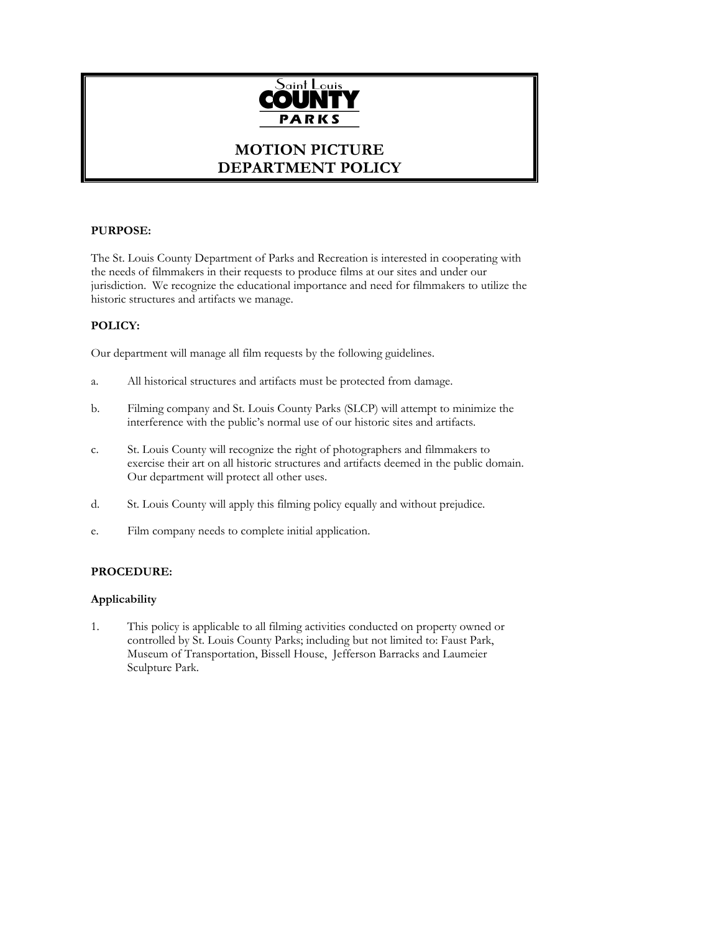

# **MOTION PICTURE DEPARTMENT POLICY**

# **PURPOSE:**

The St. Louis County Department of Parks and Recreation is interested in cooperating with the needs of filmmakers in their requests to produce films at our sites and under our jurisdiction. We recognize the educational importance and need for filmmakers to utilize the historic structures and artifacts we manage.

# **POLICY:**

Our department will manage all film requests by the following guidelines.

- a. All historical structures and artifacts must be protected from damage.
- b. Filming company and St. Louis County Parks (SLCP) will attempt to minimize the interference with the public's normal use of our historic sites and artifacts.
- c. St. Louis County will recognize the right of photographers and filmmakers to exercise their art on all historic structures and artifacts deemed in the public domain. Our department will protect all other uses.
- d. St. Louis County will apply this filming policy equally and without prejudice.
- e. Film company needs to complete initial application.

# **PROCEDURE:**

# **Applicability**

1. This policy is applicable to all filming activities conducted on property owned or controlled by St. Louis County Parks; including but not limited to: Faust Park, Museum of Transportation, Bissell House, Jefferson Barracks and Laumeier Sculpture Park.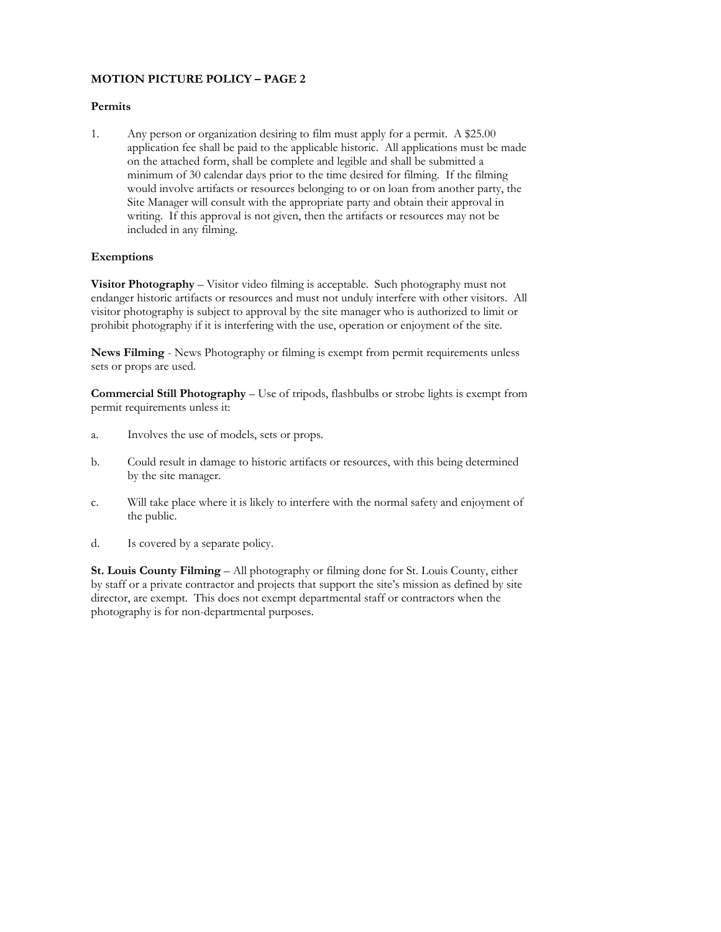#### **Permits**

1. Any person or organization desiring to film must apply for a permit. A \$25.00 application fee shall be paid to the applicable historic. All applications must be made on the attached form, shall be complete and legible and shall be submitted a minimum of 30 calendar days prior to the time desired for filming. If the filming would involve artifacts or resources belonging to or on loan from another party, the Site Manager will consult with the appropriate party and obtain their approval in writing. If this approval is not given, then the artifacts or resources may not be included in any filming.

### **Exemptions**

**Visitor Photography** – Visitor video filming is acceptable. Such photography must not endanger historic artifacts or resources and must not unduly interfere with other visitors. All visitor photography is subject to approval by the site manager who is authorized to limit or prohibit photography if it is interfering with the use, operation or enjoyment of the site.

**News Filming** - News Photography or filming is exempt from permit requirements unless sets or props are used.

**Commercial Still Photography** – Use of tripods, flashbulbs or strobe lights is exempt from permit requirements unless it:

- a. Involves the use of models, sets or props.
- b. Could result in damage to historic artifacts or resources, with this being determined by the site manager.
- c. Will take place where it is likely to interfere with the normal safety and enjoyment of the public.
- d. Is covered by a separate policy.

**St. Louis County Filming** – All photography or filming done for St. Louis County, either by staff or a private contractor and projects that support the site's mission as defined by site director, are exempt. This does not exempt departmental staff or contractors when the photography is for non-departmental purposes.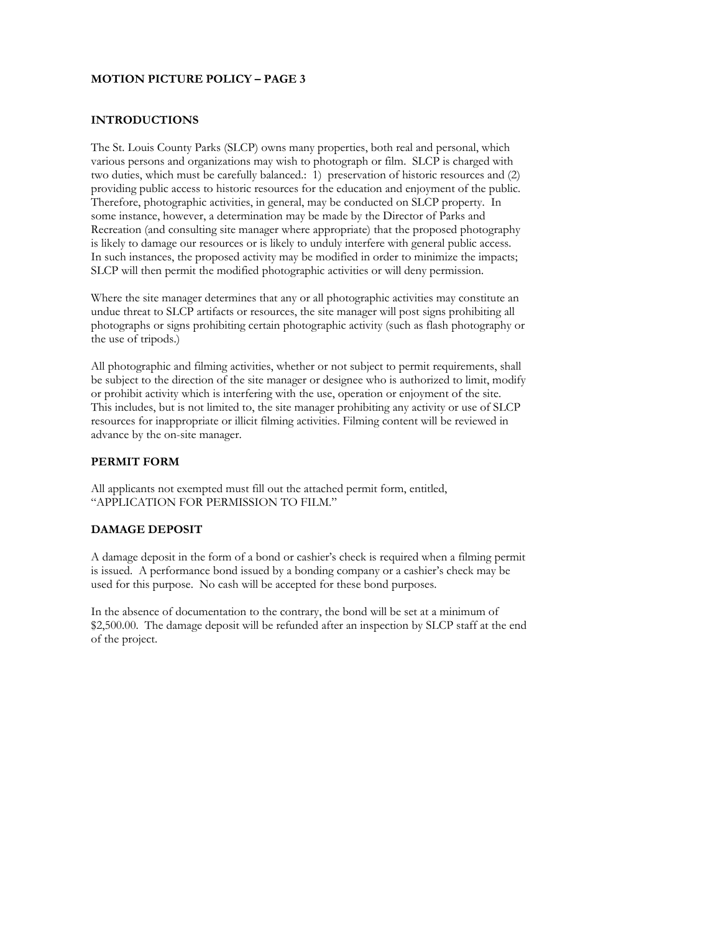## **INTRODUCTIONS**

The St. Louis County Parks (SLCP) owns many properties, both real and personal, which various persons and organizations may wish to photograph or film. SLCP is charged with two duties, which must be carefully balanced.: 1) preservation of historic resources and (2) providing public access to historic resources for the education and enjoyment of the public. Therefore, photographic activities, in general, may be conducted on SLCP property. In some instance, however, a determination may be made by the Director of Parks and Recreation (and consulting site manager where appropriate) that the proposed photography is likely to damage our resources or is likely to unduly interfere with general public access. In such instances, the proposed activity may be modified in order to minimize the impacts; SLCP will then permit the modified photographic activities or will deny permission.

Where the site manager determines that any or all photographic activities may constitute an undue threat to SLCP artifacts or resources, the site manager will post signs prohibiting all photographs or signs prohibiting certain photographic activity (such as flash photography or the use of tripods.)

All photographic and filming activities, whether or not subject to permit requirements, shall be subject to the direction of the site manager or designee who is authorized to limit, modify or prohibit activity which is interfering with the use, operation or enjoyment of the site. This includes, but is not limited to, the site manager prohibiting any activity or use of SLCP resources for inappropriate or illicit filming activities. Filming content will be reviewed in advance by the on-site manager.

## **PERMIT FORM**

All applicants not exempted must fill out the attached permit form, entitled, "APPLICATION FOR PERMISSION TO FILM."

#### **DAMAGE DEPOSIT**

A damage deposit in the form of a bond or cashier's check is required when a filming permit is issued. A performance bond issued by a bonding company or a cashier's check may be used for this purpose. No cash will be accepted for these bond purposes.

In the absence of documentation to the contrary, the bond will be set at a minimum of \$2,500.00. The damage deposit will be refunded after an inspection by SLCP staff at the end of the project.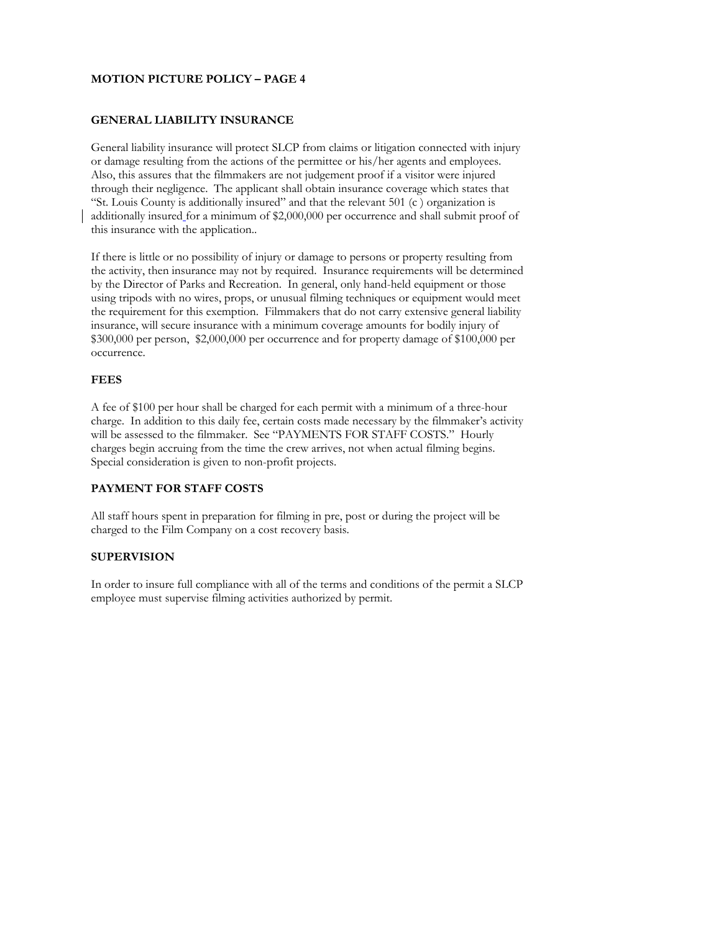#### **GENERAL LIABILITY INSURANCE**

General liability insurance will protect SLCP from claims or litigation connected with injury or damage resulting from the actions of the permittee or his/her agents and employees. Also, this assures that the filmmakers are not judgement proof if a visitor were injured through their negligence. The applicant shall obtain insurance coverage which states that "St. Louis County is additionally insured" and that the relevant 501 (c ) organization is additionally insured for a minimum of \$2,000,000 per occurrence and shall submit proof of this insurance with the application..

If there is little or no possibility of injury or damage to persons or property resulting from the activity, then insurance may not by required. Insurance requirements will be determined by the Director of Parks and Recreation. In general, only hand-held equipment or those using tripods with no wires, props, or unusual filming techniques or equipment would meet the requirement for this exemption. Filmmakers that do not carry extensive general liability insurance, will secure insurance with a minimum coverage amounts for bodily injury of \$300,000 per person, \$2,000,000 per occurrence and for property damage of \$100,000 per occurrence.

#### **FEES**

A fee of \$100 per hour shall be charged for each permit with a minimum of a three-hour charge. In addition to this daily fee, certain costs made necessary by the filmmaker's activity will be assessed to the filmmaker. See "PAYMENTS FOR STAFF COSTS." Hourly charges begin accruing from the time the crew arrives, not when actual filming begins. Special consideration is given to non-profit projects.

# **PAYMENT FOR STAFF COSTS**

All staff hours spent in preparation for filming in pre, post or during the project will be charged to the Film Company on a cost recovery basis.

# **SUPERVISION**

In order to insure full compliance with all of the terms and conditions of the permit a SLCP employee must supervise filming activities authorized by permit.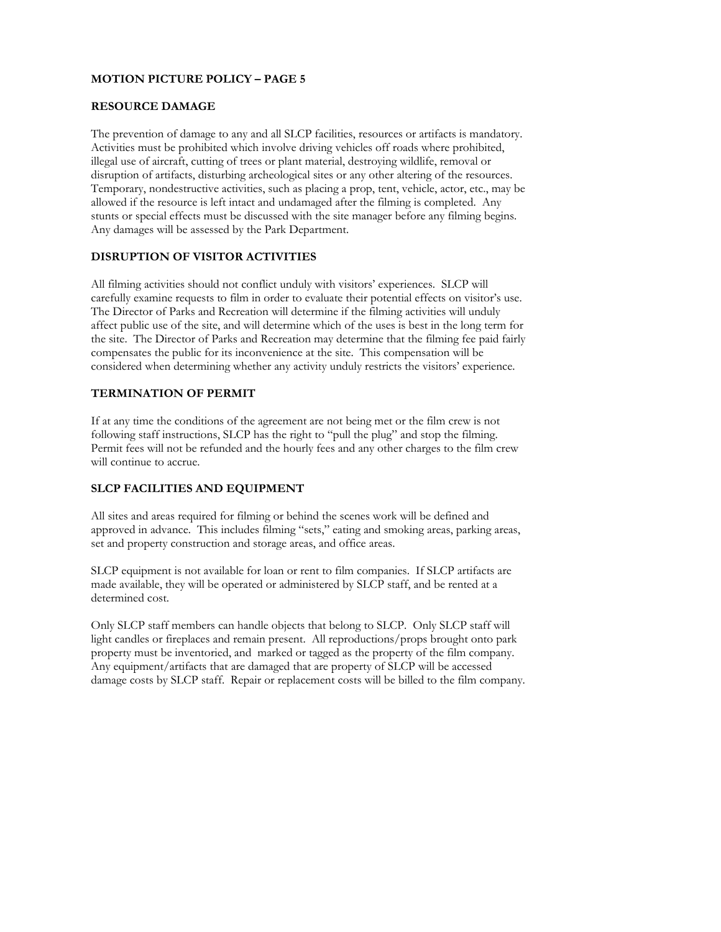### **RESOURCE DAMAGE**

The prevention of damage to any and all SLCP facilities, resources or artifacts is mandatory. Activities must be prohibited which involve driving vehicles off roads where prohibited, illegal use of aircraft, cutting of trees or plant material, destroying wildlife, removal or disruption of artifacts, disturbing archeological sites or any other altering of the resources. Temporary, nondestructive activities, such as placing a prop, tent, vehicle, actor, etc., may be allowed if the resource is left intact and undamaged after the filming is completed. Any stunts or special effects must be discussed with the site manager before any filming begins. Any damages will be assessed by the Park Department.

# **DISRUPTION OF VISITOR ACTIVITIES**

All filming activities should not conflict unduly with visitors' experiences. SLCP will carefully examine requests to film in order to evaluate their potential effects on visitor's use. The Director of Parks and Recreation will determine if the filming activities will unduly affect public use of the site, and will determine which of the uses is best in the long term for the site. The Director of Parks and Recreation may determine that the filming fee paid fairly compensates the public for its inconvenience at the site. This compensation will be considered when determining whether any activity unduly restricts the visitors' experience.

### **TERMINATION OF PERMIT**

If at any time the conditions of the agreement are not being met or the film crew is not following staff instructions, SLCP has the right to "pull the plug" and stop the filming. Permit fees will not be refunded and the hourly fees and any other charges to the film crew will continue to accrue.

# **SLCP FACILITIES AND EQUIPMENT**

All sites and areas required for filming or behind the scenes work will be defined and approved in advance. This includes filming "sets," eating and smoking areas, parking areas, set and property construction and storage areas, and office areas.

SLCP equipment is not available for loan or rent to film companies. If SLCP artifacts are made available, they will be operated or administered by SLCP staff, and be rented at a determined cost.

Only SLCP staff members can handle objects that belong to SLCP. Only SLCP staff will light candles or fireplaces and remain present. All reproductions/props brought onto park property must be inventoried, and marked or tagged as the property of the film company. Any equipment/artifacts that are damaged that are property of SLCP will be accessed damage costs by SLCP staff. Repair or replacement costs will be billed to the film company.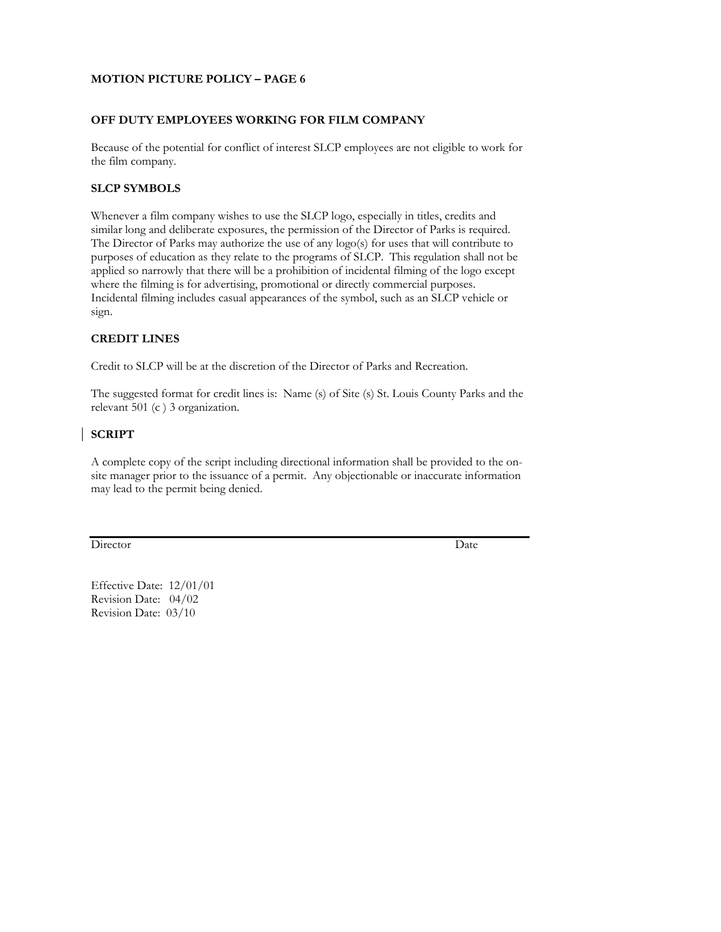#### **OFF DUTY EMPLOYEES WORKING FOR FILM COMPANY**

Because of the potential for conflict of interest SLCP employees are not eligible to work for the film company.

## **SLCP SYMBOLS**

Whenever a film company wishes to use the SLCP logo, especially in titles, credits and similar long and deliberate exposures, the permission of the Director of Parks is required. The Director of Parks may authorize the use of any logo(s) for uses that will contribute to purposes of education as they relate to the programs of SLCP. This regulation shall not be applied so narrowly that there will be a prohibition of incidental filming of the logo except where the filming is for advertising, promotional or directly commercial purposes. Incidental filming includes casual appearances of the symbol, such as an SLCP vehicle or sign.

### **CREDIT LINES**

Credit to SLCP will be at the discretion of the Director of Parks and Recreation.

The suggested format for credit lines is: Name (s) of Site (s) St. Louis County Parks and the relevant 501 (c ) 3 organization.

# **SCRIPT**

A complete copy of the script including directional information shall be provided to the onsite manager prior to the issuance of a permit. Any objectionable or inaccurate information may lead to the permit being denied.

Director Date

Effective Date: 12/01/01 Revision Date: 04/02 Revision Date: 03/10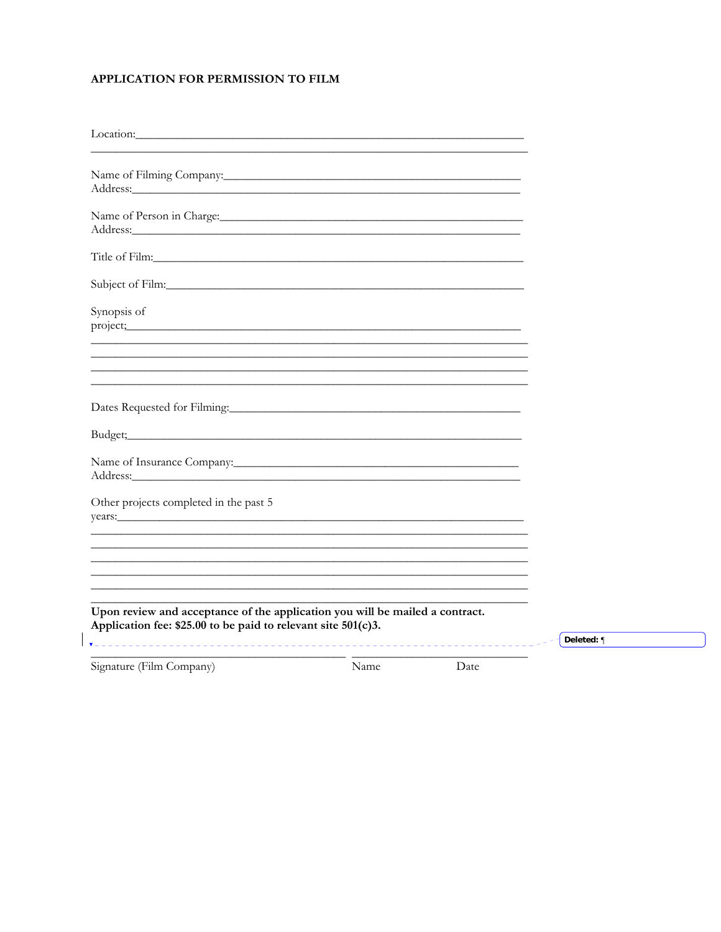# APPLICATION FOR PERMISSION TO FILM

| Location:<br><u> 1989 - Johann Stoff, amerikansk politiker (d. 1989)</u>                                                                          |            |
|---------------------------------------------------------------------------------------------------------------------------------------------------|------------|
|                                                                                                                                                   |            |
|                                                                                                                                                   |            |
|                                                                                                                                                   |            |
|                                                                                                                                                   |            |
| Synopsis of                                                                                                                                       |            |
|                                                                                                                                                   |            |
|                                                                                                                                                   |            |
| Name of Insurance Company:                                                                                                                        |            |
| Other projects completed in the past 5<br>years:                                                                                                  |            |
|                                                                                                                                                   |            |
| Upon review and acceptance of the application you will be mailed a contract.<br>Application fee: $$25.00$ to be paid to relevant site $501(c)3$ . |            |
|                                                                                                                                                   | Deleted: ¶ |

Signature (Film Company)

 $\overline{\phantom{a}}$ 

Name

Date